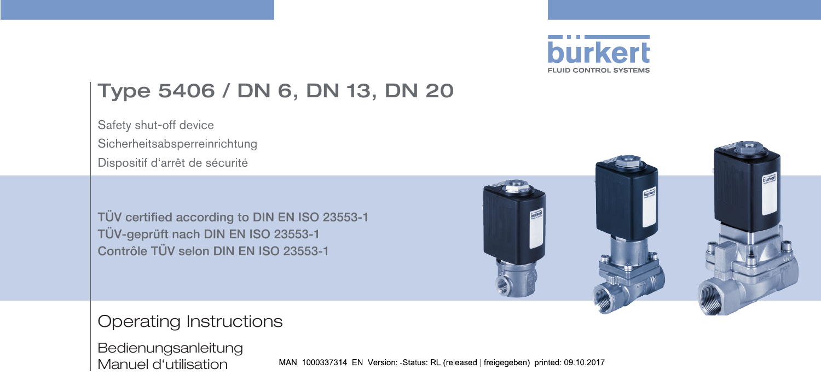

## Type 5406 / DN 6, DN 13, DN 20

Safety shut-off device

Sicherheitsabsperreinrichtung

Dispositif d'arrêt de sécurité

TÜV certified according to DIN EN ISO 23553-1 TÜV-geprüft nach DIN EN ISO 23553-1 Contrôle TÜV selon DIN EN ISO 23553-1

Operating Instructions

Bedienungsanleitung Manuel d'utilisation

MAN 1000337314 EN Version: Status: RL (released | freigegeben) printed: 09 10 2017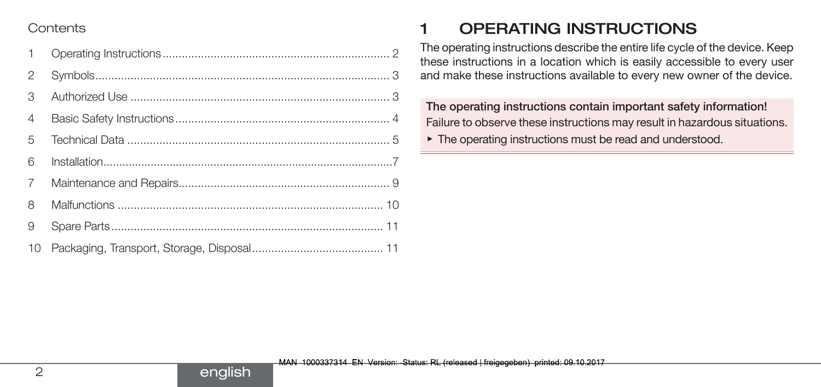#### Contents

| 1              |  |
|----------------|--|
| $\overline{2}$ |  |
| 3              |  |
| $\overline{4}$ |  |
| 5              |  |
| 6              |  |
| $\overline{7}$ |  |
| 8              |  |
| 9              |  |
|                |  |

## **OPERATING INSTRUCTIONS**

The operating instructions describe the entire life cycle of the device. Keep these instructions in a location which is easily accessible to every user and make these instructions available to every new owner of the device.

The operating instructions contain important safety information! Failure to observe these instructions may result in hazardous situations.

▶ The operating instructions must be read and understood.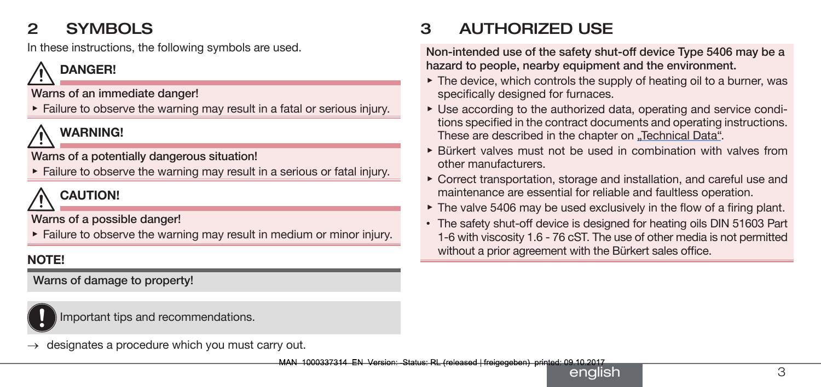## <span id="page-2-0"></span>2 SYMBOLS

In these instructions, the following symbols are used.

## DANGER!

Warns of an immediate danger!

▶ Failure to observe the warning may result in a fatal or serious injury.

## WARNING!

Warns of a potentially dangerous situation!

▶ Failure to observe the warning may result in a serious or fatal injury.

## CAUTION!

Warns of a possible danger!

▶ Failure to observe the warning may result in medium or minor injury.

## NOTE!

Warns of damage to property!



Important tips and recommendations.

 $\rightarrow$  designates a procedure which you must carry out.

## 3 AUTHORIZED USE

Non-intended use of the safety shut-off device Type 5406 may be a hazard to people, nearby equipment and the environment.

- $\triangleright$  The device, which controls the supply of heating oil to a burner, was specifically designed for furnaces.
- ▶ Use according to the authorized data, operating and service conditions specified in the contract documents and operating instructions. These are described in the chapter on ["Technical Data".](#page-4-1)
- ▶ Bürkert valves must not be used in combination with valves from other manufacturers.
- ▶ Correct transportation, storage and installation, and careful use and maintenance are essential for reliable and faultless operation.
- $\triangleright$  The valve 5406 may be used exclusively in the flow of a firing plant.
- The safety shut-off device is designed for heating oils DIN 51603 Part 1-6 with viscosity 1.6 - 76 cST. The use of other media is not permitted without a prior agreement with the Bürkert sales office.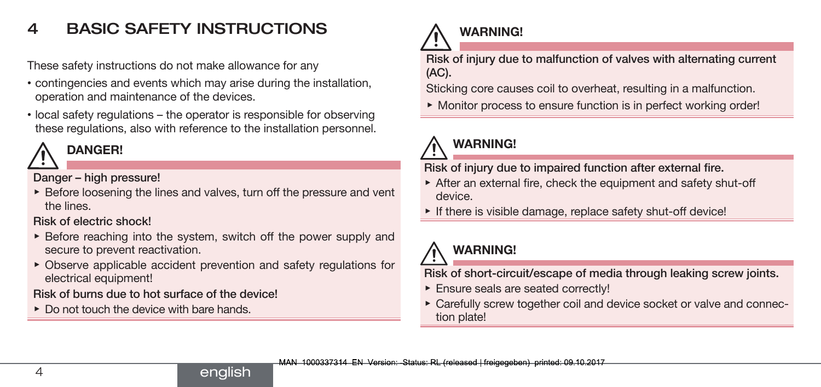## <span id="page-3-0"></span>4 BASIC SAFETY INSTRUCTIONS

These safety instructions do not make allowance for any

- contingencies and events which may arise during the installation, operation and maintenance of the devices.
- local safety regulations the operator is responsible for observing these regulations, also with reference to the installation personnel.

## DANGER!

Danger – high pressure!

▶ Before loosening the lines and valves, turn off the pressure and vent the lines.

#### Risk of electric shock!

- $\triangleright$  Before reaching into the system, switch off the power supply and secure to prevent reactivation.
- ▶ Observe applicable accident prevention and safety regulations for electrical equipment!

english

Risk of burns due to hot surface of the device!

 $\triangleright$  Do not touch the device with bare hands.



### WARNING!

Risk of injury due to malfunction of valves with alternating current (AC).

Sticking core causes coil to overheat, resulting in a malfunction.

▶ Monitor process to ensure function is in perfect working order!



Risk of injury due to impaired function after external fire.

- ▶ After an external fire, check the equipment and safety shut-off device.
- $\blacktriangleright$  If there is visible damage, replace safety shut-off device!

## WARNING!

Risk of short-circuit/escape of media through leaking screw joints.

- ▶ Ensure seals are seated correctly!
- ▶ Carefully screw together coil and device socket or valve and connection plate!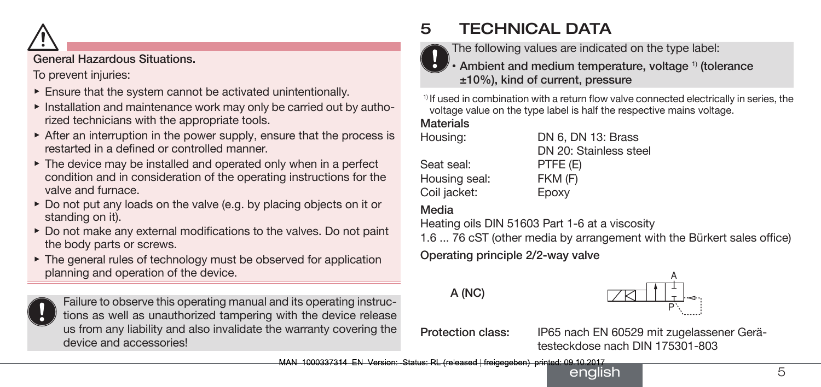<span id="page-4-0"></span>

### General Hazardous Situations.

To prevent injuries:

- ▶ Ensure that the system cannot be activated unintentionally.
- ▶ Installation and maintenance work may only be carried out by authorized technicians with the appropriate tools.
- $\triangleright$  After an interruption in the power supply, ensure that the process is restarted in a defined or controlled manner.
- $\triangleright$  The device may be installed and operated only when in a perfect condition and in consideration of the operating instructions for the valve and furnace.
- ▶ Do not put any loads on the valve (e.g. by placing objects on it or standing on it).
- ▶ Do not make any external modifications to the valves. Do not paint the body parts or screws.
- $\triangleright$  The general rules of technology must be observed for application planning and operation of the device.



Failure to observe this operating manual and its operating instructions as well as unauthorized tampering with the device release us from any liability and also invalidate the warranty covering the device and accessories!

## 5 TECHNICAL DATA

<span id="page-4-1"></span>The following values are indicated on the type label:

• Ambient and medium temperature, voltage  $1)$  (tolerance ±10%), kind of current, pressure

 $1$ <sup>1)</sup> If used in combination with a return flow valve connected electrically in series, the voltage value on the type label is half the respective mains voltage.

#### **Materials**

Housing: DN 6, DN 13: Brass DN 20: Stainless steel Seat seal: PTFE (E) Housing seal: FKM (F) Coil jacket: Epoxy

#### Media

Heating oils DIN 51603 Part 1-6 at a viscosity

1.6 ... 76 cST (other media by arrangement with the Bürkert sales office)

Operating principle 2/2-way valve

A (NC)



Protection class: IP65 nach EN 60529 mit zugelassener Gerätesteckdose nach DIN 175301-803

MAN 1000337314 EN Version: Status: RL (released | freigegeben) printed: 09.10.2017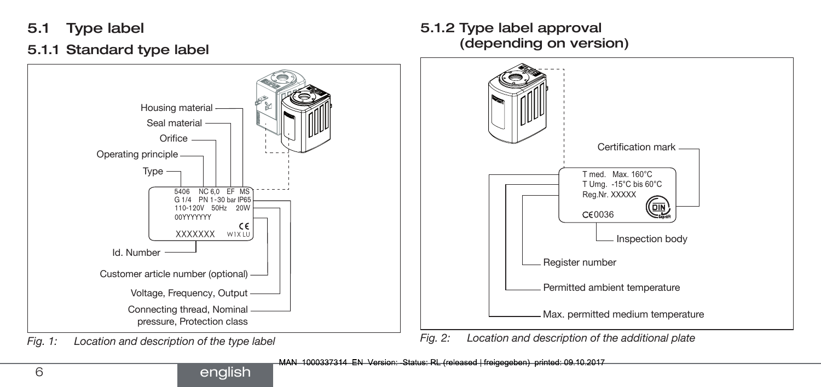5.1 Type label

### 5.1.1 Standard type label



5.1.2 Type label approval (depending on version)

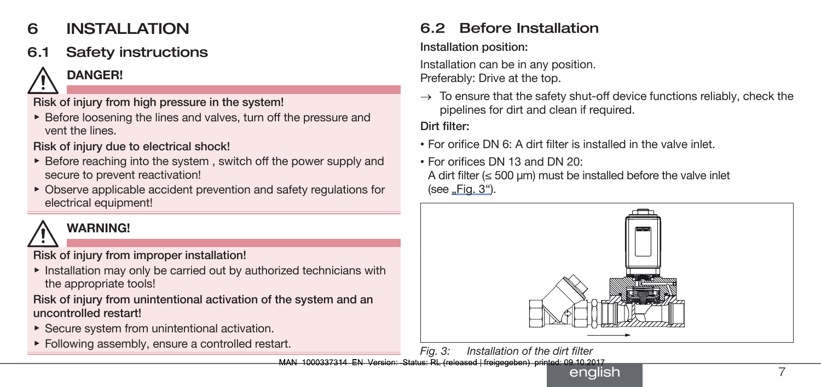## <span id="page-6-0"></span>6 INSTALLATION

## 6.1 Safety instructions

# DANGER!

#### Risk of injury from high pressure in the system!

▶ Before loosening the lines and valves, turn off the pressure and vent the lines.

#### Risk of injury due to electrical shock!

- $\triangleright$  Before reaching into the system, switch off the power supply and secure to prevent reactivation!
- $\triangleright$  Observe applicable accident prevention and safety regulations for electrical equipment!

## WARNING!

Risk of injury from improper installation!

▶ Installation may only be carried out by authorized technicians with the appropriate tools!

#### Risk of injury from unintentional activation of the system and an uncontrolled restart!

- ▶ Secure system from unintentional activation.
- ▶ Following assembly, ensure a controlled restart.

## 6.2 Before Installation

#### Installation position:

Installation can be in any position. Preferably: Drive at the top.

 $\rightarrow$  To ensure that the safety shut-off device functions reliably, check the pipelines for dirt and clean if required.

#### Dirt filter:

- For orifice DN 6: A dirt filter is installed in the valve inlet.
- For orifices DN 13 and DN 20: A dirt filter  $( $\leq 500 \mu m$ ) must be installed before the valve inlet$  $(see **Fig. 3**)$ .

<span id="page-6-1"></span>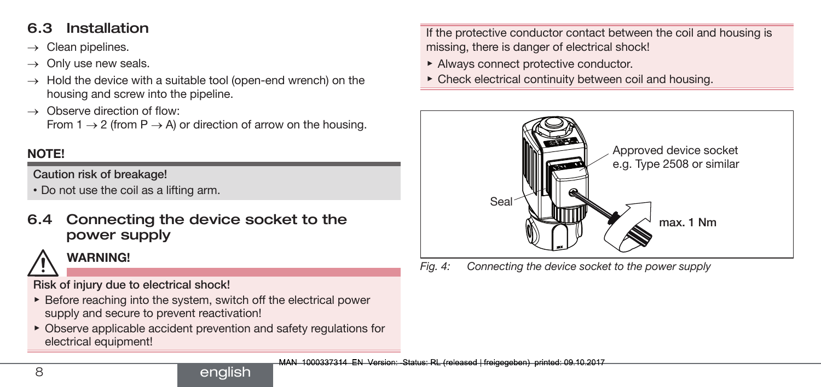### 6.3 Installation

 $\rightarrow$  Clean pipelines.

- Only use new seals.
- $\rightarrow$  Hold the device with a suitable tool (open-end wrench) on the housing and screw into the pipeline.
- → Observe direction of flow: From 1  $\rightarrow$  2 (from P  $\rightarrow$  A) or direction of arrow on the housing.

#### NOTE!

Caution risk of breakage!

- Do not use the coil as a lifting arm.
- 6.4 Connecting the device socket to the power supply

WARNING!

Risk of injury due to electrical shock!

- $\triangleright$  Before reaching into the system, switch off the electrical power supply and secure to prevent reactivation!
- $\triangleright$  Observe applicable accident prevention and safety regulations for electrical equipment!

If the protective conductor contact between the coil and housing is missing, there is danger of electrical shock!

- ▶ Always connect protective conductor.
- $\triangleright$  Check electrical continuity between coil and housing.



*Fig. 4: Connecting the device socket to the power supply*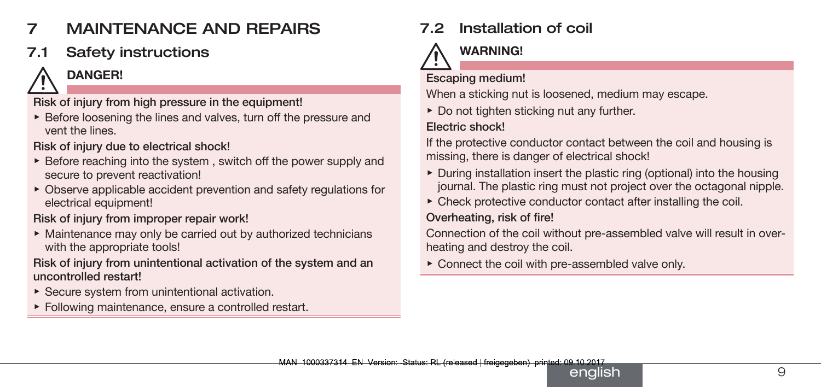## <span id="page-8-0"></span>7 MAINTENANCE AND REPAIRS

## 7.1 Safety instructions



### DANGER!

Risk of injury from high pressure in the equipment!

 $\triangleright$  Before loosening the lines and valves, turn off the pressure and vent the lines.

#### Risk of injury due to electrical shock!

- $\triangleright$  Before reaching into the system, switch off the power supply and secure to prevent reactivation!
- $\triangleright$  Observe applicable accident prevention and safety regulations for electrical equipment!

#### Risk of injury from improper repair work!

▶ Maintenance may only be carried out by authorized technicians with the appropriate tools!

#### Risk of injury from unintentional activation of the system and an uncontrolled restart!

- $\triangleright$  Secure system from unintentional activation.
- ▶ Following maintenance, ensure a controlled restart.

## 7.2 Installation of coil

## WARNING!



#### Escaping medium!

When a sticking nut is loosened, medium may escape.

 $\triangleright$  Do not tighten sticking nut any further.

#### Electric shock!

If the protective conductor contact between the coil and housing is missing, there is danger of electrical shock!

- $\triangleright$  During installation insert the plastic ring (optional) into the housing journal. The plastic ring must not project over the octagonal nipple.
- $\triangleright$  Check protective conductor contact after installing the coil.

#### Overheating, risk of fire!

Connection of the coil without pre-assembled valve will result in overheating and destroy the coil.

 $\triangleright$  Connect the coil with pre-assembled valve only.

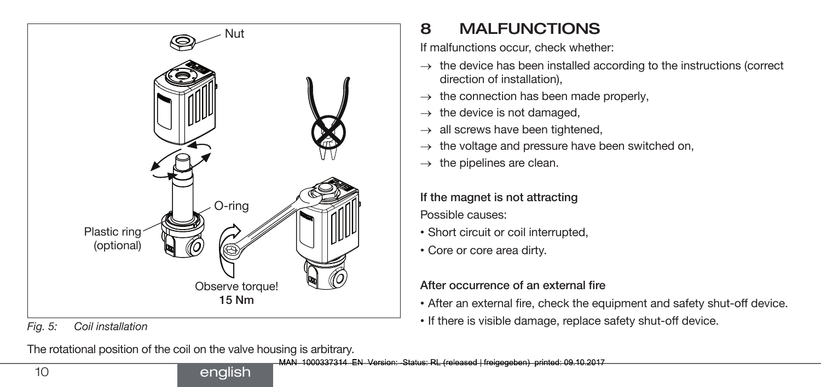<span id="page-9-0"></span>

*Fig. 5: Coil installation*

The rotational position of the coil on the valve housing is arbitrary.

MAN 1000337314 EN Version: Status: RL (released | freigegeben) printed: 09.10.2017

## english

### 8 MALFUNCTIONS

If malfunctions occur, check whether:

- $\rightarrow$  the device has been installed according to the instructions (correct direction of installation),
- $\rightarrow$  the connection has been made properly,
- $\rightarrow$  the device is not damaged,
- $\rightarrow$  all screws have been tightened.
- $\rightarrow$  the voltage and pressure have been switched on,
- $\rightarrow$  the pipelines are clean.

If the magnet is not attracting Possible causes:

- Short circuit or coil interrupted,
- Core or core area dirty.

#### After occurrence of an external fire

- After an external fire, check the equipment and safety shut-off device.
- If there is visible damage, replace safety shut-off device.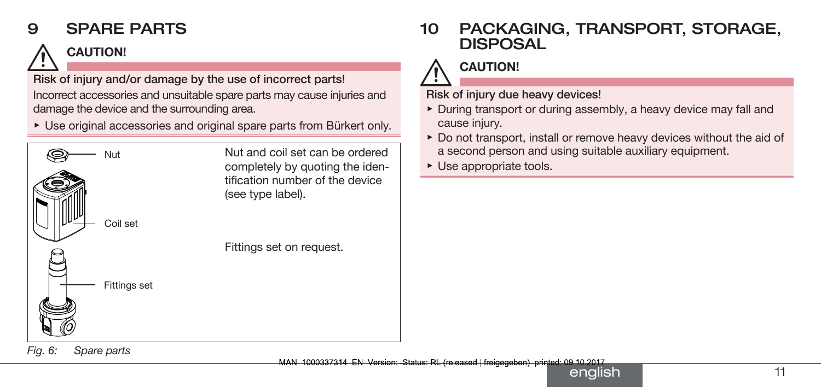## <span id="page-10-0"></span>9 SPARE PARTS

## CAUTION!

Risk of injury and/or damage by the use of incorrect parts! Incorrect accessories and unsuitable spare parts may cause injuries and damage the device and the surrounding area.

▶ Use original accessories and original spare parts from Bürkert only.



Nut Nut and coil set can be ordered completely by quoting the identification number of the device (see type label).

Fittings set on request.

10 PACKAGING, TRANSPORT, STORAGE, DISPOSAL

## **CAUTION!**

Risk of injury due heavy devices!

- ▶ During transport or during assembly, a heavy device may fall and cause injury.
- ▶ Do not transport, install or remove heavy devices without the aid of a second person and using suitable auxiliary equipment.
- $\triangleright$  Use appropriate tools.

*Fig. 6: Spare parts*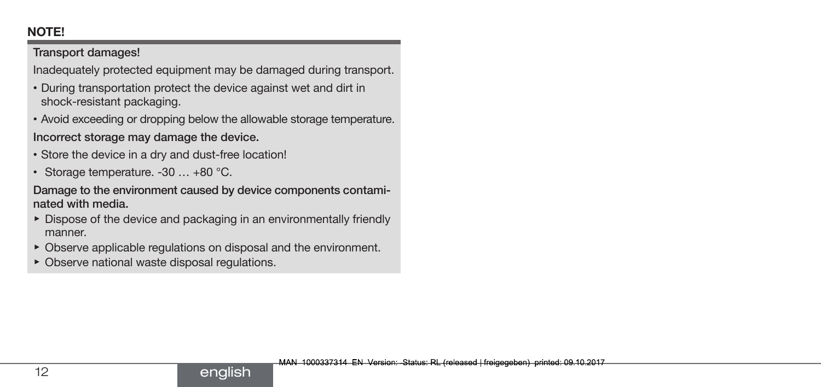#### NOTE!

#### Transport damages!

Inadequately protected equipment may be damaged during transport.

- During transportation protect the device against wet and dirt in shock-resistant packaging.
- Avoid exceeding or dropping below the allowable storage temperature. Incorrect storage may damage the device.
- Store the device in a dry and dust-free location!
- Storage temperature. -30 … +80 °C.

Damage to the environment caused by device components contaminated with media.

▶ Dispose of the device and packaging in an environmentally friendly manner.

- ▶ Observe applicable regulations on disposal and the environment.
- ▶ Observe national waste disposal regulations.